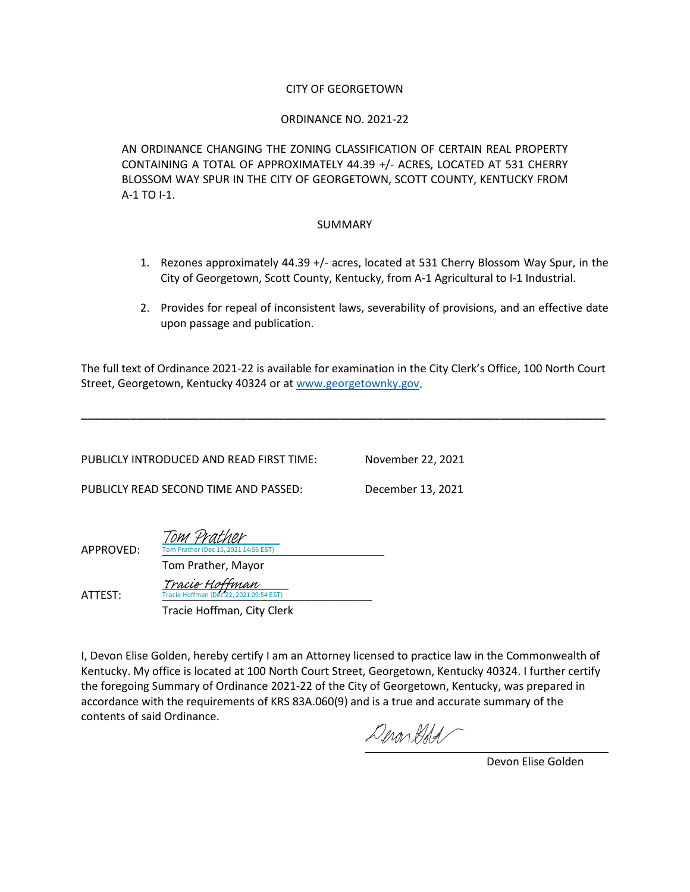#### CITY OF GEORGETOWN

#### ORDINANCE NO. 2021-22

AN ORDINANCE CHANGING THE ZONING CLASSIFICATION OF CERTAIN REAL PROPERTY CONTAINING A TOTAL OF APPROXIMATELY 44.39 +/- ACRES, LOCATED AT 531 CHERRY BLOSSOM WAY SPUR IN THE CITY OF GEORGETOWN, SCOTT COUNTY, KENTUCKY FROM A-1 TO I-1.

#### SUMMARY

- 1. Rezones approximately 44.39 +/- acres, located at 531 Cherry Blossom Way Spur, in the City of Georgetown, Scott County, Kentucky, from A-1 Agricultural to I-1 Industrial.
- 2. Provides for repeal of inconsistent laws, severability of provisions, and an effective date upon passage and publication.

The full text of Ordinance 2021-22 is available for examination in the City Clerk's Office, 100 North Court Street, Georgetown, Kentucky 40324 or at [www.georgetownky.gov.](http://www.georgetownky.gov/)

**\_\_\_\_\_\_\_\_\_\_\_\_\_\_\_\_\_\_\_\_\_\_\_\_\_\_\_\_\_\_\_\_\_\_\_\_\_\_\_\_\_\_\_\_\_\_\_\_\_\_\_\_\_\_\_\_\_\_\_\_\_\_\_\_\_\_\_\_\_\_\_\_\_\_\_\_\_\_\_\_\_\_\_\_\_**

PUBLICLY INTRODUCED AND READ FIRST TIME: November 22, 2021

PUBLICLY READ SECOND TIME AND PASSED: December 13, 2021

| APPROVED: | Tom Prather<br>Tom Prather (Dec 15, 2021 14:56 EST)              |  |
|-----------|------------------------------------------------------------------|--|
|           | Tom Prather, Mayor                                               |  |
| ATTEST:   | <i>Tracie Hoffman</i><br>Tracie Hoffman (Dec 22, 2021 09:54 EST) |  |
|           | Tracie Hoffman, City Clerk                                       |  |

I, Devon Elise Golden, hereby certify I am an Attorney licensed to practice law in the Commonwealth of Kentucky. My office is located at 100 North Court Street, Georgetown, Kentucky 40324. I further certify the foregoing Summary of Ordinance 2021-22 of the City of Georgetown, Kentucky, was prepared in accordance with the requirements of KRS 83A.060(9) and is a true and accurate summary of the contents of said Ordinance.

Derondod

Devon Elise Golden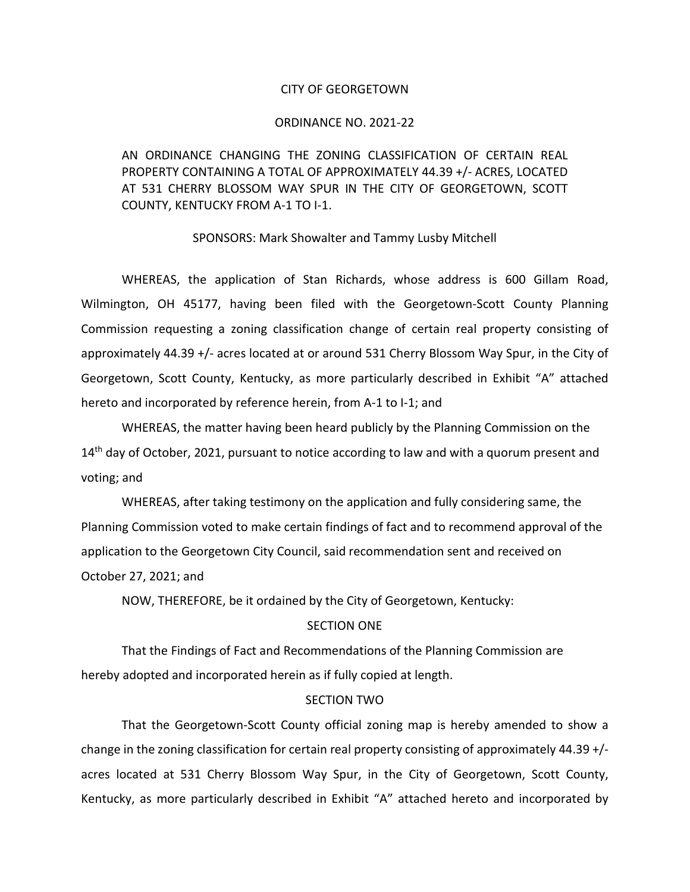#### CITY OF GEORGETOWN

#### ORDINANCE NO. 2021-22

AN ORDINANCE CHANGING THE ZONING CLASSIFICATION OF CERTAIN REAL PROPERTY CONTAINING A TOTAL OF APPROXIMATELY 44.39 +/- ACRES, LOCATED AT 531 CHERRY BLOSSOM WAY SPUR IN THE CITY OF GEORGETOWN, SCOTT COUNTY, KENTUCKY FROM A-1 TO I-1.

#### SPONSORS: Mark Showalter and Tammy Lusby Mitchell

WHEREAS, the application of Stan Richards, whose address is 600 Gillam Road, Wilmington, OH 45177, having been filed with the Georgetown-Scott County Planning Commission requesting a zoning classification change of certain real property consisting of approximately 44.39 +/- acres located at or around 531 Cherry Blossom Way Spur, in the City of Georgetown, Scott County, Kentucky, as more particularly described in Exhibit "A" attached hereto and incorporated by reference herein, from A-1 to I-1; and

WHEREAS, the matter having been heard publicly by the Planning Commission on the  $14<sup>th</sup>$  day of October, 2021, pursuant to notice according to law and with a quorum present and voting; and

WHEREAS, after taking testimony on the application and fully considering same, the Planning Commission voted to make certain findings of fact and to recommend approval of the application to the Georgetown City Council, said recommendation sent and received on October 27, 2021; and

NOW, THEREFORE, be it ordained by the City of Georgetown, Kentucky:

### SECTION ONE

That the Findings of Fact and Recommendations of the Planning Commission are hereby adopted and incorporated herein as if fully copied at length.

#### SECTION TWO

That the Georgetown-Scott County official zoning map is hereby amended to show a change in the zoning classification for certain real property consisting of approximately 44.39 +/ acres located at 531 Cherry Blossom Way Spur, in the City of Georgetown, Scott County, Kentucky, as more particularly described in Exhibit "A" attached hereto and incorporated by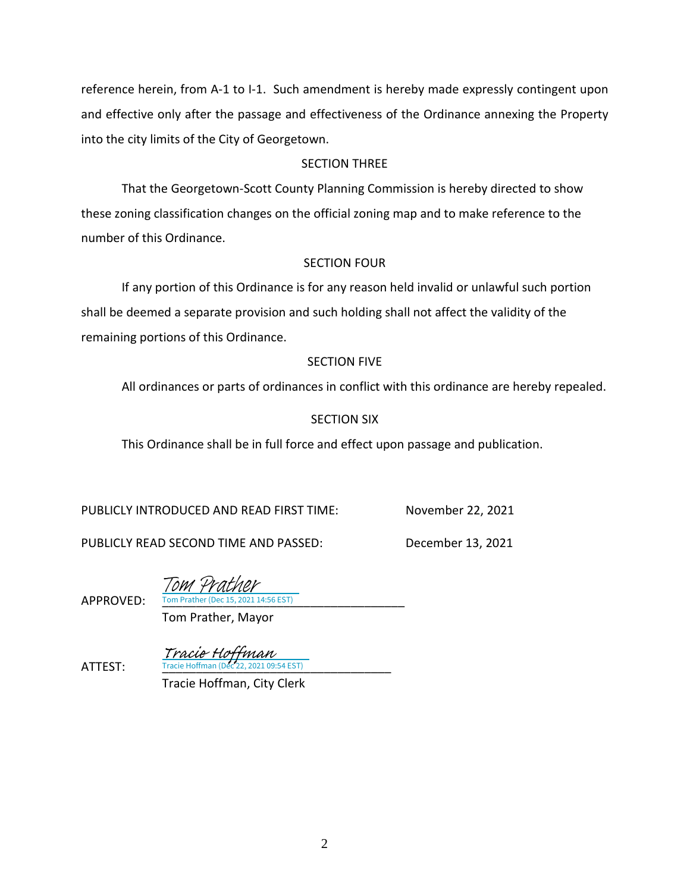reference herein, from A-1 to I-1. Such amendment is hereby made expressly contingent upon and effective only after the passage and effectiveness of the Ordinance annexing the Property into the city limits of the City of Georgetown.

# SECTION THREE

That the Georgetown-Scott County Planning Commission is hereby directed to show these zoning classification changes on the official zoning map and to make reference to the number of this Ordinance.

# SECTION FOUR

If any portion of this Ordinance is for any reason held invalid or unlawful such portion shall be deemed a separate provision and such holding shall not affect the validity of the remaining portions of this Ordinance.

## SECTION FIVE

All ordinances or parts of ordinances in conflict with this ordinance are hereby repealed.

# SECTION SIX

This Ordinance shall be in full force and effect upon passage and publication.

PUBLICLY INTRODUCED AND READ FIRST TIME: November 22, 2021

PUBLICLY READ SECOND TIME AND PASSED: December 13, 2021

Tom Prather

APPROVED: Tom Prather (Dec 15, 2021 14:56 EST)

Tom Prather, Mayor

**ATTEST:** Tracie Hoffman (Dec 22, 2021 09:54 EST) Tracie Hoffman

Tracie Hoffman, City Clerk